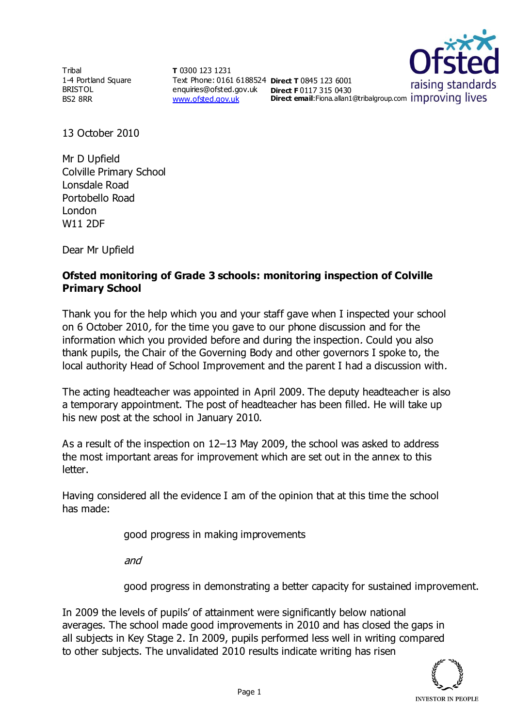**Tribal** 1-4 Portland Square BRISTOL BS2 8RR

**T** 0300 123 1231 Text Phone: 0161 6188524 **Direct T** 0845 123 6001 enquiries@ofsted.gov.uk **Direct F** 0117 315 0430 [www.ofsted.gov.uk](http://www.ofsted.gov.uk/)



13 October 2010

Mr D Upfield Colville Primary School Lonsdale Road Portobello Road London W11 2DF

Dear Mr Upfield

## **Ofsted monitoring of Grade 3 schools: monitoring inspection of Colville Primary School**

Thank you for the help which you and your staff gave when I inspected your school on 6 October 2010, for the time you gave to our phone discussion and for the information which you provided before and during the inspection. Could you also thank pupils, the Chair of the Governing Body and other governors I spoke to, the local authority Head of School Improvement and the parent I had a discussion with.

The acting headteacher was appointed in April 2009. The deputy headteacher is also a temporary appointment. The post of headteacher has been filled. He will take up his new post at the school in January 2010.

As a result of the inspection on 12–13 May 2009, the school was asked to address the most important areas for improvement which are set out in the annex to this letter.

Having considered all the evidence I am of the opinion that at this time the school has made:

good progress in making improvements

and

good progress in demonstrating a better capacity for sustained improvement.

In 2009 the levels of pupils' of attainment were significantly below national averages. The school made good improvements in 2010 and has closed the gaps in all subjects in Key Stage 2. In 2009, pupils performed less well in writing compared to other subjects. The unvalidated 2010 results indicate writing has risen

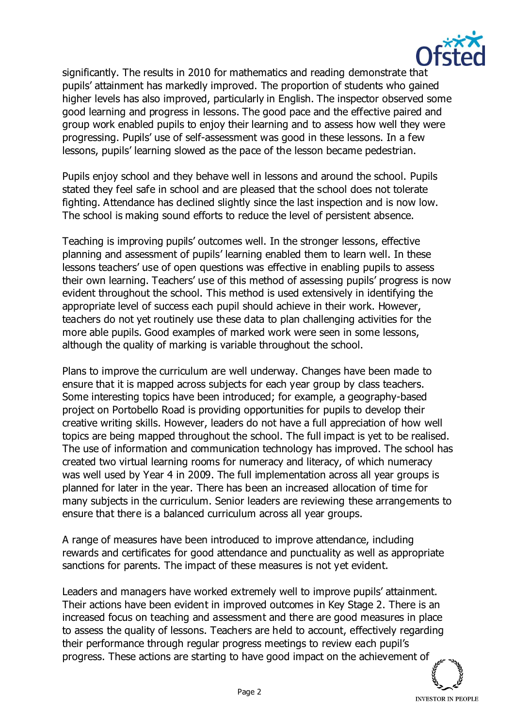

significantly. The results in 2010 for mathematics and reading demonstrate that pupils' attainment has markedly improved. The proportion of students who gained higher levels has also improved, particularly in English. The inspector observed some good learning and progress in lessons. The good pace and the effective paired and group work enabled pupils to enjoy their learning and to assess how well they were progressing. Pupils' use of self-assessment was good in these lessons. In a few lessons, pupils' learning slowed as the pace of the lesson became pedestrian.

Pupils enjoy school and they behave well in lessons and around the school. Pupils stated they feel safe in school and are pleased that the school does not tolerate fighting. Attendance has declined slightly since the last inspection and is now low. The school is making sound efforts to reduce the level of persistent absence.

Teaching is improving pupils' outcomes well. In the stronger lessons, effective planning and assessment of pupils' learning enabled them to learn well. In these lessons teachers' use of open questions was effective in enabling pupils to assess their own learning. Teachers' use of this method of assessing pupils' progress is now evident throughout the school. This method is used extensively in identifying the appropriate level of success each pupil should achieve in their work. However, teachers do not yet routinely use these data to plan challenging activities for the more able pupils. Good examples of marked work were seen in some lessons, although the quality of marking is variable throughout the school.

Plans to improve the curriculum are well underway. Changes have been made to ensure that it is mapped across subjects for each year group by class teachers. Some interesting topics have been introduced; for example, a geography-based project on Portobello Road is providing opportunities for pupils to develop their creative writing skills. However, leaders do not have a full appreciation of how well topics are being mapped throughout the school. The full impact is yet to be realised. The use of information and communication technology has improved. The school has created two virtual learning rooms for numeracy and literacy, of which numeracy was well used by Year 4 in 2009. The full implementation across all year groups is planned for later in the year. There has been an increased allocation of time for many subjects in the curriculum. Senior leaders are reviewing these arrangements to ensure that there is a balanced curriculum across all year groups.

A range of measures have been introduced to improve attendance, including rewards and certificates for good attendance and punctuality as well as appropriate sanctions for parents. The impact of these measures is not yet evident.

Leaders and managers have worked extremely well to improve pupils' attainment. Their actions have been evident in improved outcomes in Key Stage 2. There is an increased focus on teaching and assessment and there are good measures in place to assess the quality of lessons. Teachers are held to account, effectively regarding their performance through regular progress meetings to review each pupil's progress. These actions are starting to have good impact on the achievement of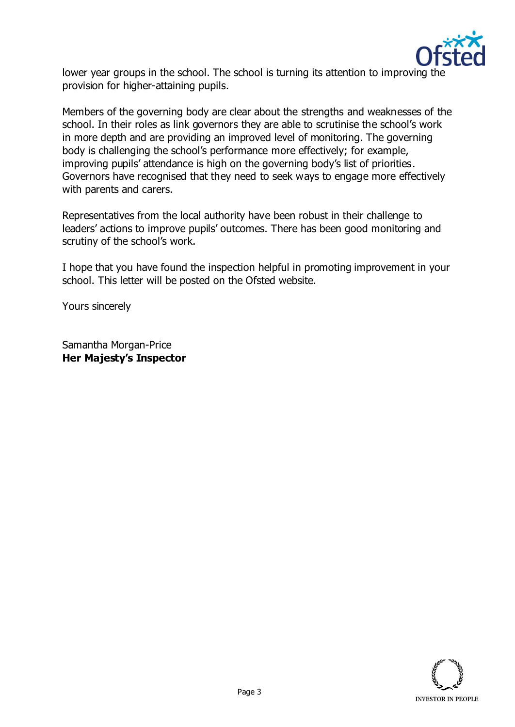

lower year groups in the school. The school is turning its attention to improving the provision for higher-attaining pupils.

Members of the governing body are clear about the strengths and weaknesses of the school. In their roles as link governors they are able to scrutinise the school's work in more depth and are providing an improved level of monitoring. The governing body is challenging the school's performance more effectively; for example, improving pupils' attendance is high on the governing body's list of priorities. Governors have recognised that they need to seek ways to engage more effectively with parents and carers.

Representatives from the local authority have been robust in their challenge to leaders' actions to improve pupils' outcomes. There has been good monitoring and scrutiny of the school's work.

I hope that you have found the inspection helpful in promoting improvement in your school. This letter will be posted on the Ofsted website.

Yours sincerely

Samantha Morgan-Price **Her Majesty's Inspector**